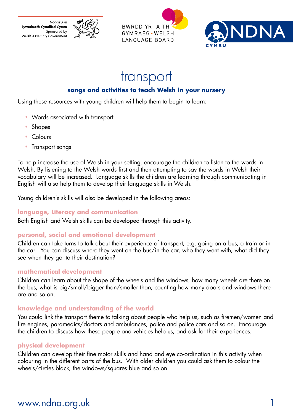





# transport

# **songs and activities to teach Welsh in your nursery**

Using these resources with young children will help them to begin to learn:

- Words associated with transport
- Shapes
- • Colours
- Transport songs

To help increase the use of Welsh in your setting, encourage the children to listen to the words in Welsh. By listening to the Welsh words first and then attempting to say the words in Welsh their vocabulary will be increased. Language skills the children are learning through communicating in English will also help them to develop their language skills in Welsh.

Young children's skills will also be developed in the following areas:

### **language, Literacy and communication**

Both English and Welsh skills can be developed through this activity.

### **personal, social and emotional development**

Children can take turns to talk about their experience of transport, e.g. going on a bus, a train or in the car. You can discuss where they went on the bus/in the car, who they went with, what did they see when they got to their destination?

### **mathematical development**

Children can learn about the shape of the wheels and the windows, how many wheels are there on the bus, what is big/small/bigger than/smaller than, counting how many doors and windows there are and so on.

# **knowledge and understanding of the world**

You could link the transport theme to talking about people who help us, such as firemen/women and fire engines, paramedics/doctors and ambulances, police and police cars and so on. Encourage the children to discuss how these people and vehicles help us, and ask for their experiences.

### **physical development**

Children can develop their fine motor skills and hand and eye co-ordination in this activity when colouring in the different parts of the bus. With older children you could ask them to colour the wheels/circles black, the windows/squares blue and so on.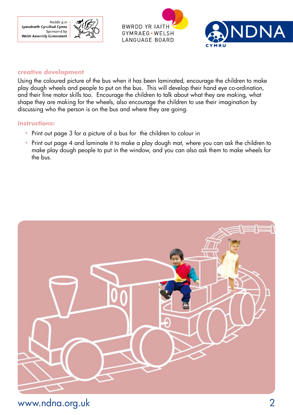





#### **creative development**

Using the coloured picture of the bus when it has been laminated, encourage the children to make play dough wheels and people to put on the bus. This will develop their hand eye co-ordination, and their fine motor skills too. Encourage the children to talk about what they are making, what shape they are making for the wheels, also encourage the children to use their imagination by discussing who the person is on the bus and where they are going.

#### **instructions:**

- Print out page 3 for a picture of a bus for the children to colour in
- Print out page 4 and laminate it to make a play dough mat, where you can ask the children to make play dough people to put in the window, and you can also ask them to make wheels for the bus.

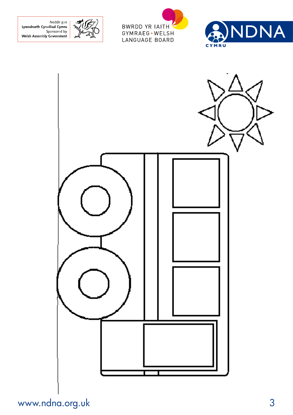





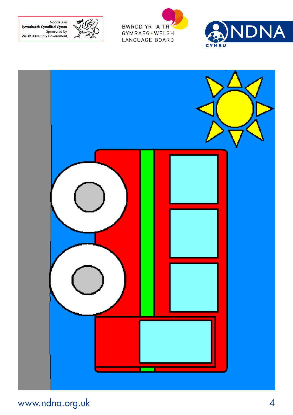





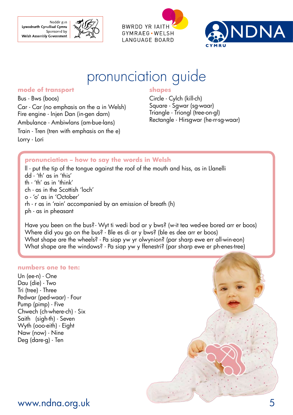





# pronunciation guide

### **mode of transport**

Bus - Bws (boos)

Car - Car (no emphasis on the a in Welsh) Fire engine - Injen Dan (in-gen darn) Ambulance - Ambiwlans (am-bue-lans) Train - Tren (tren with emphasis on the e) Lorry - Lori

### **shapes**

Circle - Cylch (kill-ch) Square - Sgwar (sg-waar) Triangle - Triongl (tree-on-gl) Rectangle - Hirsgwar (he-rr-sg-waar)

### **pronunciation – how to say the words in Welsh**

ll - put the tip of the tongue against the roof of the mouth and hiss, as in Llanelli dd - 'th' as in 'this' th - 'th' as in 'think' ch - as in the Scottish 'loch' o - 'o' as in 'October' rh - r as in 'rain' accompanied by an emission of breath (h) ph - as in pheasant

Have you been on the bus?- Wyt ti wedi bod ar y bws? (w-it tea wed-ee bored arr er boos) Where did you go on the bus? - Ble es di ar y bws? (ble es dee arr er boos) What shape are the wheels? - Pa siap yw yr olwynion? (par sharp ewe err all-win-eon) What shape are the windows? - Pa siap yw y ffenestri? (par sharp ewe er ph-enes-tree)

#### **numbers one to ten:**

Un (ee-n) - One Dau (die) - Two Tri (tree) - Three Pedwar (ped-waar) - Four Pump (pimp) - Five Chwech (ch-where-ch) - Six Saith (sigh-th) - Seven Wyth (ooo-eith) - Eight Naw (now) - Nine Deg (dare-g) - Ten